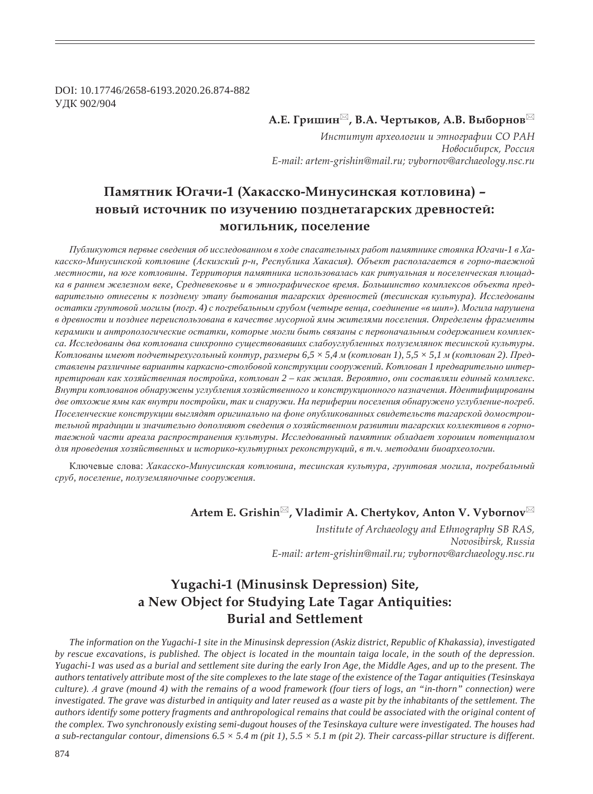DOI: 10.17746/2658-6193.2020.26.874-882 ɍȾɄ 902/904

## $A.E.$  Гришин<sup>⊠</sup>, В.А. Чертыков, А.В. Выборнов<sup>⊠</sup>

Институт археологии и этнографии СО РАН  $H$ овосибирск, Россия *E-mail: artem-grishin@mail.ru; vybornov@archaeology.nsc.ru*

# Памятник Югачи-1 (Хакасско-Минусинская котловина) -**<del>новый источник по изучению позднетагарских древностей:**</del> **МОГИЛЬНИК, ПОСЕЛЕНИЕ**

*ɉɭɛɥɢɤɭɸɬɫɹ ɩɟɪɜɵɟ ɫɜɟɞɟɧɢɹ ɨɛ ɢɫɫɥɟɞɨɜɚɧɧɨɦ ɜ ɯɨɞɟ ɫɩɚɫɚɬɟɥɶɧɵɯ ɪɚɛɨɬ ɩɚɦɹɬɧɢɤɟ ɫɬɨɹɧɤɚ ɘɝɚɱɢ-1 ɜ ɏɚ*касско-Минусинской котловине (Аскизский р-н, Республика Хакасия). Объект располагается в горно-таежной местности, на юге котловины. Территория памятника использовалась как ритуальная и поселенческая площадка в раннем железном веке, Средневековье и в этнографическое время. Большинство комплексов объекта пред*ɜɚɪɢɬɟɥɶɧɨ ɨɬɧɟɫɟɧɵ ɤ ɩɨɡɞɧɟɦɭ ɷɬɚɩɭ ɛɵɬɨɜɚɧɢɹ ɬɚɝɚɪɫɤɢɯ ɞɪɟɜɧɨɫɬɟɣ (ɬɟɫɢɧɫɤɚɹ ɤɭɥɶɬɭɪɚ). ɂɫɫɥɟɞɨɜɚɧɵ* остатки грунтовой могилы (погр. 4) с погребальным срубом (четыре венца, соединение «в шип»). Могила нарушена в древности и позднее переиспользована в качестве мусорной ямы жителями поселения. Определены фрагменты керамики и антропологические остатки, которые могли быть связаны с первоначальным содержанием комплекса. Исследованы два котлована синхронно существовавших слабоуглубленных полуземлянок тесинской культуры. Котлованы имеют подчетырехугольный контур, размеры 6,5 × 5,4 м (котлован 1), 5,5 × 5,1 м (котлован 2). Представлены различные варианты каркасно-столбовой конструкции сооружений. Котлован 1 предварительно интерпретирован как хозяйственная постройка, котлован 2 - как жилая. Вероятно, они составляли единый комплекс.  $B$ нутри котлованов обнаружены углубления хозяйственного и конструкционного назначения. Идентифицированы две отхожие ямы как внутри постройки, так и снаружи. На периферии поселения обнаружено углубление-погреб. Поселенческие конструкции выглядят оригинально на фоне опубликованных свидетельств тагарской домостроительной традиции и значительно дополняют сведения о хозяйственном развитии тагарских коллективов в горнотаежной части ареала распространения культуры. Исследованный памятник обладает хорошим потенциалом для проведения хозяйственных и историко-культурных реконструкций, в т.ч. методами биоархеологии.

Ключевые слова: Хакасско-Минусинская котловина, тесинская культура, грунтовая могила, погребальный сруб, поселение, полуземляночные сооружения.

## Artem E. Grishin<sup>⊠</sup>, Vladimir A. Chertykov, Anton V. Vybornov<sup>⊠</sup>

*Institute of Archaeology and Ethnography SB RAS, Novosibirsk, Russia E-mail: artem-grishin@mail.ru; vybornov@archaeology.nsc.ru*

# **Yugachi-1 (Minusinsk Depression) Site, a New Object for Studying Late Tagar Antiquities: Burial and Settlement**

*The information on the Yugachi-1 site in the Minusinsk depression (Askiz district, Republic of Khakassia), investigated by rescue excavations, is published. The object is located in the mountain taiga locale, in the south of the depression. Yugachi-1 was used as a burial and settlement site during the early Iron Age, the Middle Ages, and up to the present. The authors tentatively attribute most of the site complexes to the late stage of the existence of the Tagar antiquities (Tesinskaya culture). Ⱥ grave (mound 4) with the remains of a wood framework (four tiers of logs, an "in-thorn" connection) were investigated. The grave was disturbed in antiquity and later reused as a waste pit by the inhabitants of the settlement. The authors identify some pottery fragments and anthropological remains that could be associated with the original content of the complex. Two synchronously existing semi-dugout houses of the Tesinskaya culture were investigated. The houses had a sub-rectangular contour, dimensions*  $6.5 \times 5.4$  *m (pit 1),*  $5.5 \times 5.1$  *m (pit 2). Their carcass-pillar structure is different.*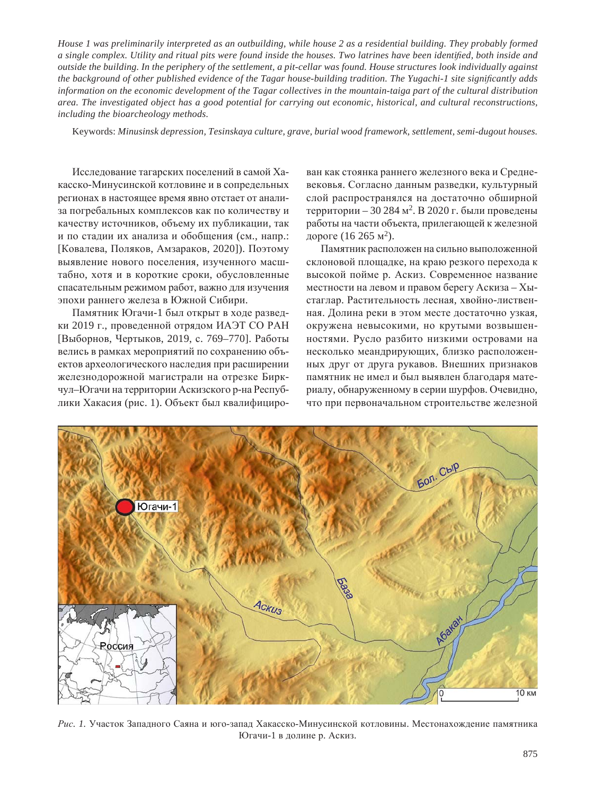*House 1 was preliminarily interpreted as an outbuilding, while house 2 as a residential building. They probably formed*  a single complex. Utility and ritual pits were found inside the houses. Two latrines have been identified, both inside and *outside the building. In the periphery of the settlement, a pit-cellar was found. House structures look individually against the background of other published evidence of the Tagar house-building tradition. The Yugachi-1 site significantly adds information on the economic development of the Tagar collectives in the mountain-taiga part of the cultural distribution area. The investigated object has a good potential for carrying out economic, historical, and cultural reconstructions, including the bioarcheology methods.*

Keywords: *Minusinsk depression, Tesinskaya culture, grave, burial wood framework, settlement, semi-dugout houses.*

Исследование тагарских поселений в самой Хакасско-Минусинской котловине и в сопредельных регионах в настоящее время явно отстает от анализа погребальных комплексов как по количеству и качеству источников, объему их публикации, так и по стадии их анализа и обобщения (см., напр.: [Ковалева, Поляков, Амзараков, 2020]). Поэтому выявление нового поселения, изученного масштабно, хотя и в короткие сроки, обусловленные спасательным режимом работ, важно для изучения эпохи раннего железа в Южной Сибири.

Памятник Югачи-1 был открыт в ходе разведки 2019 г., проведенной отрядом ИАЭТ СО РАН [Выборнов, Чертыков, 2019, с. 769–770]. Работы велись в рамках мероприятий по сохранению объектов археологического наследия при расширении железнодорожной магистрали на отрезке Биркчул-Югачи на территории Аскизского р-на Республики Хакасия (рис. 1). Объект был квалифицирован как стоянка раннего железного века и Средневековья. Согласно данным разведки, культурный слой распространялся на достаточно обширной территории – 30 284 м<sup>2</sup>. В 2020 г. были проведены работы на части объекта, прилегающей к железной дороге (16 265 м<sup>2</sup>).

Памятник расположен на сильно выположенной склоновой площадке, на краю резкого перехода к высокой пойме р. Аскиз. Современное название местности на левом и правом берегу Аскиза - Хыстаглар. Растительность лесная, хвойно-лиственная. Долина реки в этом месте достаточно узкая, окружена невысокими, но крутыми возвышенностями. Русло разбито низкими островами на несколько меандрирующих, близко расположенных друг от друга рукавов. Внешних признаков памятник не имел и был выявлен благодаря материалу, обнаруженному в серии шурфов. Очевидно, что при первоначальном строительстве железной



Рис. 1. Участок Западного Саяна и юго-запад Хакасско-Минусинской котловины. Местонахождение памятника Югачи-1 в долине р. Аскиз.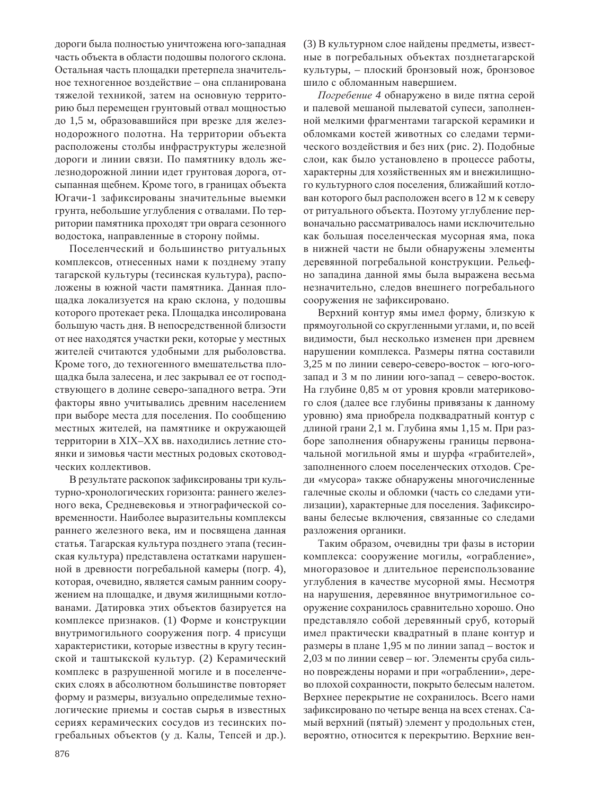дороги была полностью уничтожена юго-западная часть объекта в области подошвы пологого склона. Остальная часть площадки претерпела значительное техногенное воздействие – она спланирована тяжелой техникой, затем на основную территорию был перемещен грунтовый отвал мощностью до 1,5 м, образовавшийся при врезке для железнодорожного полотна. На территории объекта расположены столбы инфраструктуры железной дороги и линии связи. По памятнику вдоль железнодорожной линии идет грунтовая дорога, отсыпанная щебнем. Кроме того, в границах объекта Югачи-1 зафиксированы значительные выемки грунта, небольшие углубления с отвалами. По территории памятника проходят три оврага сезонного водостока, направленные в сторону поймы.

Поселенческий и большинство ритуальных комплексов, отнесенных нами к позднему этапу тагарской культуры (тесинская культура), расположены в южной части памятника. Данная площадка локализуется на краю склона, у подошвы которого протекает река. Площадка инсолирована большую часть дня. В непосредственной близости от нее находятся участки реки, которые у местных жителей считаются удобными для рыболовства. Кроме того, до техногенного вмешательства площадка была залесена, и лес закрывал ее от господствующего в долине северо-западного ветра. Эти факторы явно учитывались древним населением при выборе места для поселения. По сообщению местных жителей, на памятнике и окружающей территории в XIX–XX вв. находились летние стоянки и зимовья части местных родовых скотоводческих коллективов.

В результате раскопок зафиксированы три культурно-хронологических горизонта: раннего железного века, Средневековья и этнографической современности. Наиболее выразительны комплексы раннего железного века, им и посвящена данная статья. Тагарская культура позднего этапа (тесинская культура) представлена остатками нарушенной в древности погребальной камеры (погр. 4), которая, очевидно, является самым ранним сооружением на площадке, и двумя жилищными котлованами. Датировка этих объектов базируется на комплексе признаков. (1) Форме и конструкции внутримогильного сооружения погр. 4 присущи характеристики, которые известны в кругу тесинской и таштыкской культур. (2) Керамический комплекс в разрушенной могиле и в поселенческих слоях в абсолютном большинстве повторяет форму и размеры, визуально определимые технологические приемы и состав сырья в известных сериях керамических сосудов из тесинских погребальных объектов (у д. Калы, Тепсей и др.).

(3) В культурном слое найдены предметы, известные в погребальных объектах позднетагарской культуры, – плоский бронзовый нож, бронзовое шило с обломанным навершием.

Погребение 4 обнаружено в виде пятна серой и палевой мешаной пылеватой супеси, заполненной мелкими фрагментами тагарской керамики и обломками костей животных со следами термического воздействия и без них (рис. 2). Подобные слои, как было установлено в процессе работы, характерны для хозяйственных ям и внежилищного культурного слоя поселения, ближайший котлован которого был расположен всего в 12 м к северу от ритуального объекта. Поэтому углубление первоначально рассматривалось нами исключительно как большая поселенческая мусорная яма, пока в нижней части не были обнаружены элементы деревянной погребальной конструкции. Рельефно западина данной ямы была выражена весьма незначительно, следов внешнего погребального сооружения не зафиксировано.

Верхний контур ямы имел форму, близкую к прямоугольной со скругленными углами, и, по всей видимости, был несколько изменен при древнем нарушении комплекса. Размеры пятна составили 3,25 м по линии северо-северо-восток – юго-югозапад и 3 м по линии юго-запад – северо-восток. На глубине 0,85 м от уровня кровли материкового слоя (далее все глубины привязаны к данному уровню) яма приобрела подквадратный контур с длиной грани 2,1 м. Глубина ямы 1,15 м. При разборе заполнения обнаружены границы первоначальной могильной ямы и шурфа «грабителей», заполненного слоем поселенческих отходов. Среди «мусора» также обнаружены многочисленные галечные сколы и обломки (часть со следами утилизации), характерные для поселения. Зафиксированы белесые включения, связанные со следами разложения органики.

Таким образом, очевидны три фазы в истории комплекса: сооружение могилы, «ограбление», многоразовое и длительное переиспользование углубления в качестве мусорной ямы. Несмотря на нарушения, деревянное внутримогильное сооружение сохранилось сравнительно хорошо. Оно представляло собой деревянный сруб, который имел практически квадратный в плане контур и размеры в плане 1,95 м по линии запад – восток и 2,03 м по линии север – юг. Элементы сруба сильно повреждены норами и при «ограблении», дерево плохой сохранности, покрыто белесым налетом. Верхнее перекрытие не сохранилось. Всего нами зафиксировано по четыре венца на всех стенах. Самый верхний (пятый) элемент у продольных стен, вероятно, относится к перекрытию. Верхние вен-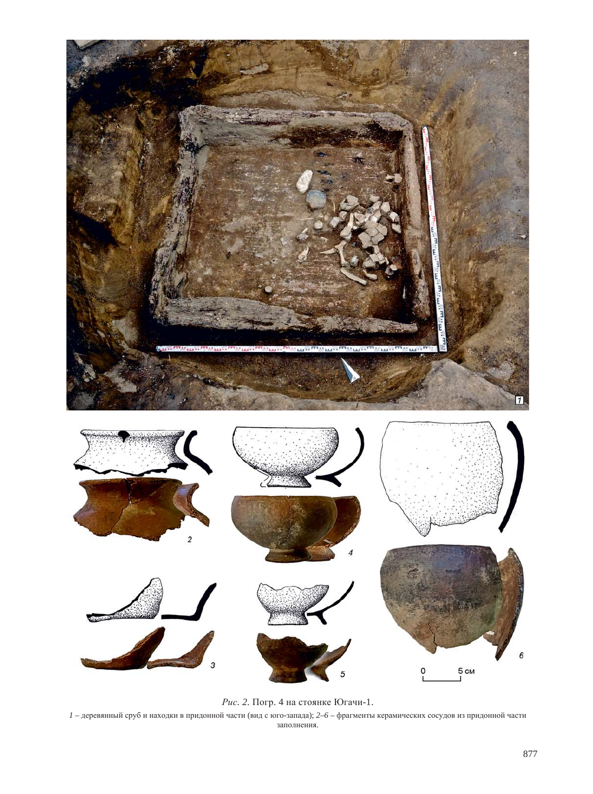

Рис. 2. Погр. 4 на стоянке Югачи-1.

 $1$  – деревянный сруб и находки в придонной части (вид с юго-запада);  $2-6$  – фрагменты керамических сосудов из придонной части заполнения.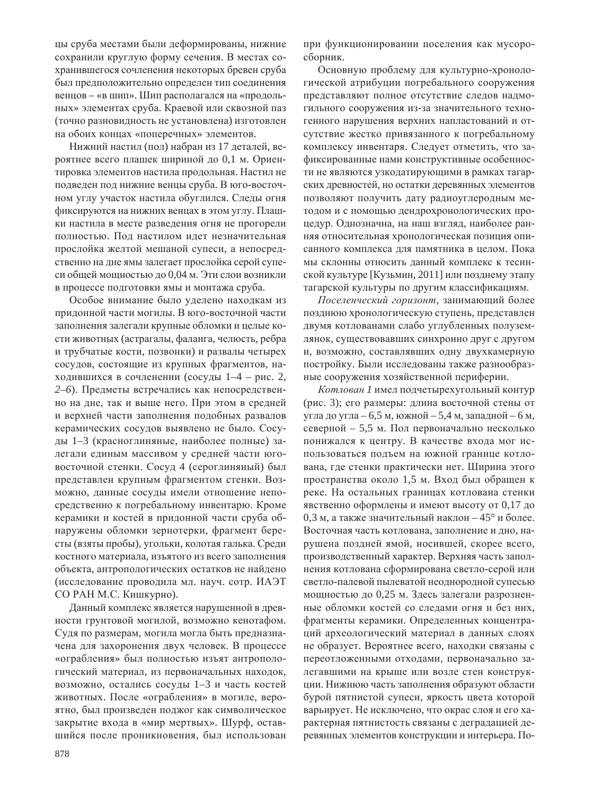цы сруба местами были деформированы, нижние сохранили круглую форму сечения. В местах сохранившегося сочленения некоторых бревен сруба был предположительно определен тип соединения венцов – «в шип». Шип располагался на «продольных» элементах сруба. Краевой или сквозной паз (точно разновидность не установлена) изготовлен на обоих концах «поперечных» элементов.

Нижний настил (пол) набран из 17 деталей, вероятнее всего плашек шириной до 0,1 м. Ориентировка элементов настила продольная. Настил не подведен под нижние венцы сруба. В юго-восточном углу участок настила обуглился. Следы огня фиксируются на нижних венцах в этом углу. Плашки настила в месте разведения огня не прогорели полностью. Под настилом идет незначительная прослойка желтой мешаной супеси, а непосредственно на дне ямы залегает прослойка серой супеси общей мощностью до 0,04 м. Эти слои возникли в процессе подготовки ямы и монтажа сруба.

Особое внимание было уделено находкам из придонной части могилы. В юго-восточной части заполнения залегали крупные обломки и целые кости животных (астрагалы, фаланга, челюсть, ребра и трубчатые кости, позвонки) и развалы четырех сосудов, состоящие из крупных фрагментов, находившихся в сочленении (сосуды 1–4 – рис. 2, 2–6). Предметы встречались как непосредственно на дне, так и выше него. При этом в средней и верхней части заполнения подобных развалов керамических сосудов выявлено не было. Сосуды 1–3 (красноглиняные, наиболее полные) залегали единым массивом у средней части юговосточной стенки. Сосуд 4 (сероглиняный) был представлен крупным фрагментом стенки. Возможно, данные сосуды имели отношение непосредственно к погребальному инвентарю. Кроме керамики и костей в придонной части сруба обнаружены обломки зернотерки, фрагмент бересты (взяты пробы), угольки, колотая галька. Среди костного материала, изъятого из всего заполнения объекта, антропологических остатков не найдено (исследование проводила мл. науч. сотр. ИАЭТ СО РАН М.С. Кишкурно).

Данный комплекс является нарушенной в древности грунтовой могилой, возможно кенотафом. Судя по размерам, могила могла быть предназначена для захоронения двух человек. В процессе «ограбления» был полностью изъят антропологический материал, из первоначальных находок, возможно, остались сосуды 1–3 и часть костей животных. После «ограбления» в могиле, вероятно, был произведен поджог как символическое закрытие входа в «мир мертвых». Шурф, оставшийся после проникновения, был использован

при функционировании поселения как мусоросборник.

Основную проблему для культурно-хронологической атрибуции погребального сооружения представляют полное отсутствие следов надмогильного сооружения из-за значительного техногенного нарушения верхних напластований и отсутствие жестко привязанного к погребальному комплексу инвентаря. Следует отметить, что зафиксированные нами конструктивные особенности не являются узкодатирующими в рамках тагарских древностей, но остатки деревянных элементов позволяют получить дату радиоуглеродным методом и с помощью дендрохронологических процедур. Однозначна, на наш взгляд, наиболее ранняя относительная хронологическая позиция описанного комплекса лля памятника в целом. Пока мы склонны относить данный комплекс к тесинской культуре [Кузьмин, 2011] или позднему этапу тагарской культуры по другим классификациям.

Поселенческий горизонт, занимающий более позднюю хронологическую ступень, представлен двумя котлованами слабо углубленных полуземлянок, существовавших синхронно друг с другом и, возможно, составлявших одну двухкамерную постройку. Были исследованы также разнообразные сооружения хозяйственной периферии.

Котлован 1 имел подчетырехугольный контур (рис. 3); его размеры: длина восточной стены от угла до угла – 6,5 м, южной – 5,4 м, западной – 6 м, северной – 5,5 м. Пол первоначально несколько понижался к центру. В качестве входа мог использоваться подъем на южной границе котлована, где стенки практически нет. Ширина этого пространства около 1,5 м. Вход был обращен к реке. На остальных границах котлована стенки явственно оформлены и имеют высоту от 0,17 до 0,3 м, а также значительный наклон – 45° и более. Восточная часть котлована, заполнение и дно, нарушена поздней ямой, носившей, скорее всего, производственный характер. Верхняя часть заполнения котлована сформирована светло-серой или светло-палевой пылеватой неоднородной супесью мощностью до 0,25 м. Здесь залегали разрозненные обломки костей со следами огня и без них, фрагменты керамики. Определенных концентраций археологический материал в данных слоях не образует. Вероятнее всего, находки связаны с переотложенными отходами, первоначально залегавшими на крыше или возле стен конструкции. Нижнюю часть заполнения образуют области бурой пятнистой супеси, яркость цвета которой варьирует. Не исключено, что окрас слоя и его характерная пятнистость связаны с деградацией деревянных элементов конструкции и интерьера. По-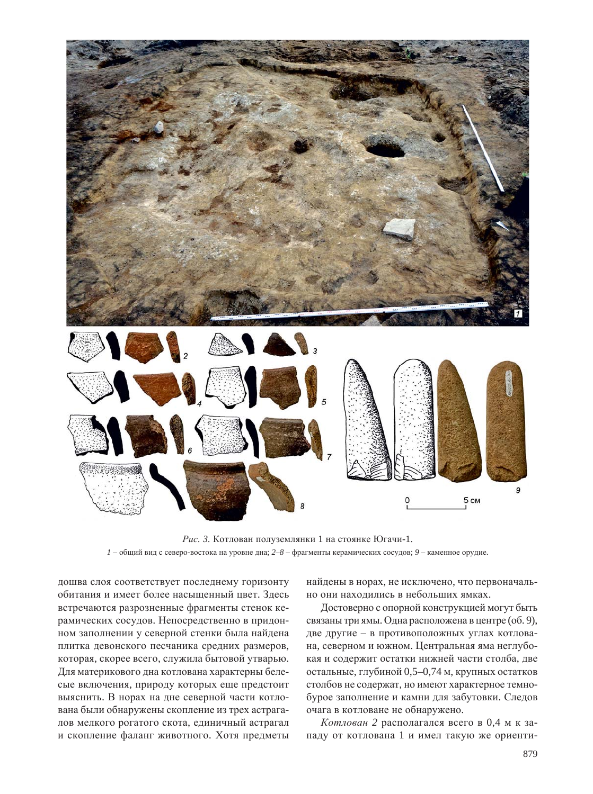

Рис. 3. Котлован полуземлянки 1 на стоянке Югачи-1.  $1 -$ общий вид с северо-востока на уровне дна;  $2-8$  – фрагменты керамических сосудов;  $9$  – каменное орудие.

дошва слоя соответствует последнему горизонту обитания и имеет более насыщенный цвет. Здесь встречаются разрозненные фрагменты стенок керамических сосудов. Непосредственно в придонном заполнении у северной стенки была найдена плитка девонского песчаника средних размеров, которая, скорее всего, служила бытовой утварью. Для материкового дна котлована характерны белесые включения, природу которых еще предстоит выяснить. В норах на дне северной части котлована были обнаружены скопление из трех астрагалов мелкого рогатого скота, единичный астрагал и скопление фаланг животного. Хотя предметы

найдены в норах, не исключено, что первоначально они находились в небольших ямках.

Достоверно с опорной конструкцией могут быть связаны три ямы. Одна расположена в центре (об. 9), две другие – в противоположных углах котлована, северном и южном. Центральная яма неглубокая и содержит остатки нижней части столба, две остальные, глубиной 0,5–0,74 м, крупных остатков столбов не содержат, но имеют характерное темнобурое заполнение и камни для забутовки. Следов очага в котловане не обнаружено.

Котлован 2 располагался всего в 0,4 м к западу от котлована 1 и имел такую же ориенти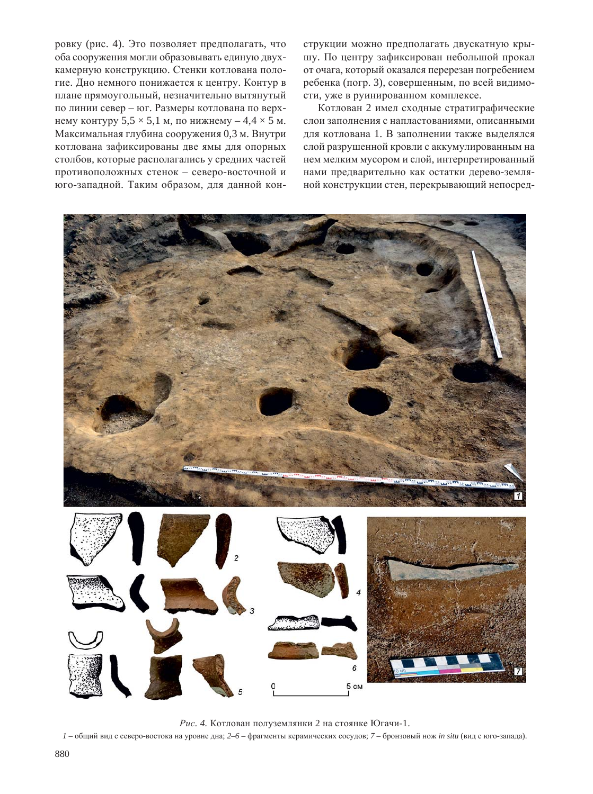ровку (рис. 4). Это позволяет предполагать, что оба сооружения могли образовывать единую двухкамерную конструкцию. Стенки котлована пологие. Дно немного понижается к центру. Контур в плане прямоугольный, незначительно вытянутый по линии север – юг. Размеры котлована по верхнему контуру 5,5  $\times$  5,1 м, по нижнему – 4,4  $\times$  5 м. Максимальная глубина сооружения 0,3 м. Внутри котлована зафиксированы две ямы для опорных столбов, которые располагались у средних частей противоположных стенок – северо-восточной и юго-западной. Таким образом, для данной конструкции можно предполагать двускатную крышу. По центру зафиксирован небольшой прокал от очага, который оказался перерезан погребением ребенка (погр. 3), совершенным, по всей видимости, уже в руинированном комплексе.

Котлован 2 имел сходные стратиграфические слои заполнения с напластованиями, описанными для котлована 1. В заполнении также выделялся слой разрушенной кровли с аккумулированным на нем мелким мусором и слой, интерпретированный нами предварительно как остатки дерево-земляной конструкции стен, перекрывающий непосред-



Рис. 4. Котлован полуземлянки 2 на стоянке Югачи-1.

 $1 -$ общий вид с северо-востока на уровне дна;  $2-6 -$ фрагменты керамических сосудов; 7 – бронзовый нож *in situ* (вид с юго-запада).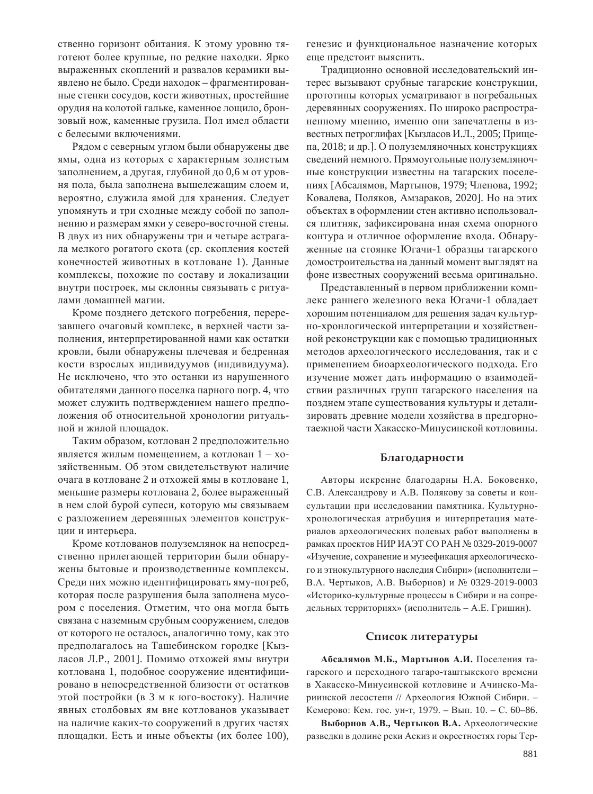ственно горизонт обитания. К этому уровню тяготеют более крупные, но редкие находки. Ярко выраженных скоплений и развалов керамики выявлено не было. Среди находок – фрагментированные стенки сосудов, кости животных, простейшие орудия на колотой гальке, каменное лощило, бронзовый нож, каменные грузила. Пол имел области с белесыми включениями.

Рядом с северным углом были обнаружены две ямы, одна из которых с характерным золистым заполнением, а другая, глубиной до 0,6 м от уровня пола, была заполнена вышележащим слоем и, вероятно, служила ямой для хранения. Следует упомянуть и три сходные между собой по заполнению и размерам ямки у северо-восточной стены. В двух из них обнаружены три и четыре астрагала мелкого рогатого скота (ср. скопления костей конечностей животных в котловане 1). Данные комплексы, похожие по составу и локализации внутри построек, мы склонны связывать с ритуалами домашней магии.

Кроме позднего детского погребения, перерезавшего очаговый комплекс, в верхней части заполнения, интерпретированной нами как остатки кровли, были обнаружены плечевая и бедренная кости взрослых индивидуумов (индивидуума). Не исключено, что это останки из нарушенного обитателями данного поселка парного погр. 4, что может служить подтверждением нашего предположения об относительной хронологии ритуальной и жилой плошалок.

Таким образом, котлован 2 предположительно является жилым помещением, а котлован  $1 - x$ озяйственным. Об этом свидетельствуют наличие очага в котловане 2 и отхожей ямы в котловане 1, меньшие размеры котлована 2, более выраженный в нем слой бурой супеси, которую мы связываем с разложением деревянных элементов конструкции и интерьера.

Кроме котлованов полуземлянок на непосредственно прилегающей территории были обнаружены бытовые и производственные комплексы. Среди них можно идентифицировать яму-погреб, которая после разрушения была заполнена мусором с поселения. Отметим, что она могла быть связана с наземным срубным сооружением, следов от которого не осталось, аналогично тому, как это предполагалось на Ташебинском городке [Кызласов Л.Р., 2001]. Помимо отхожей ямы внутри котлована 1, подобное сооружение идентифицировано в непосредственной близости от остатков этой постройки (в 3 м к юго-востоку). Наличие явных столбовых ям вне котлованов указывает на наличие каких-то сооружений в других частях площадки. Есть и иные объекты (их более 100),

генезис и функциональное назначение которых еще предстоит выяснить.

Традиционно основной исследовательский интерес вызывают срубные тагарские конструкции, прототипы которых усматривают в погребальных деревянных сооружениях. По широко распространенному мнению, именно они запечатлены в известных петроглифах [Кызласов И.Л., 2005; Прищепа, 2018; и др.]. О полуземляночных конструкциях сведений немного. Прямоугольные полуземляночные конструкции известны на тагарских поселениях [Абсалямов, Мартынов, 1979; Членова, 1992; Ковалева, Поляков, Амзараков, 2020]. Но на этих объектах в оформлении стен активно использовался плитняк, зафиксирована иная схема опорного контура и отличное оформление входа. Обнаруженные на стоянке Югачи-1 образцы тагарского домостроительства на данный момент выглядят на фоне известных сооружений весьма оригинально.

Представленный в первом приближении комплекс раннего железного века Югачи-1 обладает хорошим потенциалом для решения задач культурно-хронлогической интерпретации и хозяйственной реконструкции как с помощью традиционных методов археологического исследования, так и с применением биоархеологического подхода. Его изучение может дать информацию о взаимодействии различных групп тагарского населения на позднем этапе существования культуры и детализировать древние модели хозяйства в предгорнотаежной части Хакасско-Минусинской котловины.

#### **Благодарности**

Авторы искренне благодарны Н.А. Боковенко, С.В. Александрову и А.В. Полякову за советы и консультации при исследовании памятника. Культурнохронологическая атрибуция и интерпретация материалов археологических полевых работ выполнены в рамках проектов НИР ИАЭТ СО РАН № 0329-2019-0007 «Изучение, сохранение и музеефикация археологического и этнокультурного наследия Сибири» (исполнители-В.А. Чертыков, А.В. Выборнов) и № 0329-2019-0003 «Историко-культурные процессы в Сибири и на сопредельных территориях» (исполнитель – А.Е. Гришин).

#### Список литературы

 $A6ca$ лямов М.Б., Мартынов А.И. Поселения тагарского и переходного тагаро-таштыкского времени в Хакасско-Минусинской котловине и Ачинско-Мариинской лесостепи // Археология Южной Сибири. -Кемерово: Кем. гос. ун-т, 1979. – Вып. 10. – С. 60–86.

Выборнов А.В., Чертыков В.А. Археологические разведки в долине реки Аскиз и окрестностях горы Тер-